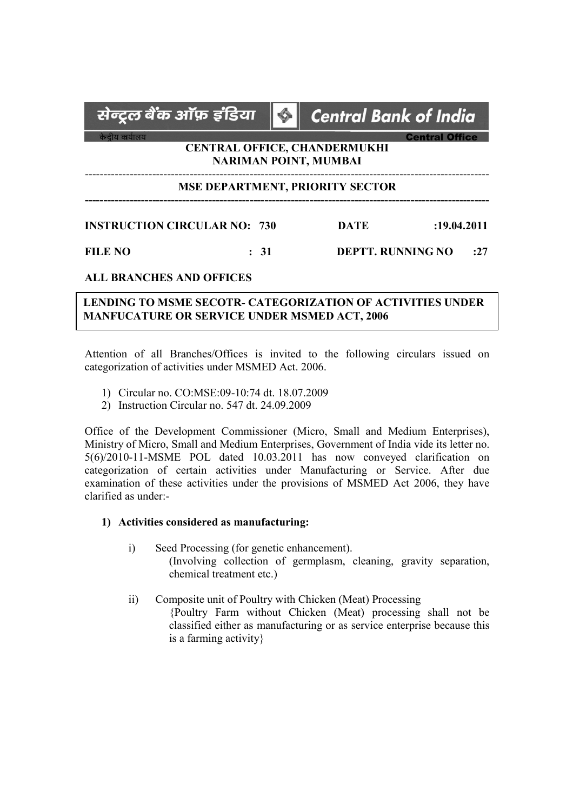# सेन्ट्रल बेंक ऑफ़ इंडिया **Central Bank of India**  $\bigcirc$ **Central Office** केन्दीय कार्यालय CENTRAL OFFICE, CHANDERMUKHI NARIMAN POINT, MUMBAI ------------------------------------------------------------------------------------------------------------ MSE DEPARTMENT, PRIORITY SECTOR ------------------------------------------------------------------------------------------------------------ INSTRUCTION CIRCULAR NO: 730 DATE :19.04.2011 FILE NO : 31 DEPTT. RUNNING NO : 27

### ALL BRANCHES AND OFFICES

# LENDING TO MSME SECOTR- CATEGORIZATION OF ACTIVITIES UNDER MANFUCATURE OR SERVICE UNDER MSMED ACT, 2006

Attention of all Branches/Offices is invited to the following circulars issued on categorization of activities under MSMED Act. 2006.

- 1) Circular no. CO:MSE:09-10:74 dt. 18.07.2009
- 2) Instruction Circular no. 547 dt. 24.09.2009

Office of the Development Commissioner (Micro, Small and Medium Enterprises), Ministry of Micro, Small and Medium Enterprises, Government of India vide its letter no. 5(6)/2010-11-MSME POL dated 10.03.2011 has now conveyed clarification on categorization of certain activities under Manufacturing or Service. After due examination of these activities under the provisions of MSMED Act 2006, they have clarified as under:-

#### 1) Activities considered as manufacturing:

- i) Seed Processing (for genetic enhancement). (Involving collection of germplasm, cleaning, gravity separation, chemical treatment etc.)
- ii) Composite unit of Poultry with Chicken (Meat) Processing {Poultry Farm without Chicken (Meat) processing shall not be classified either as manufacturing or as service enterprise because this is a farming activity}